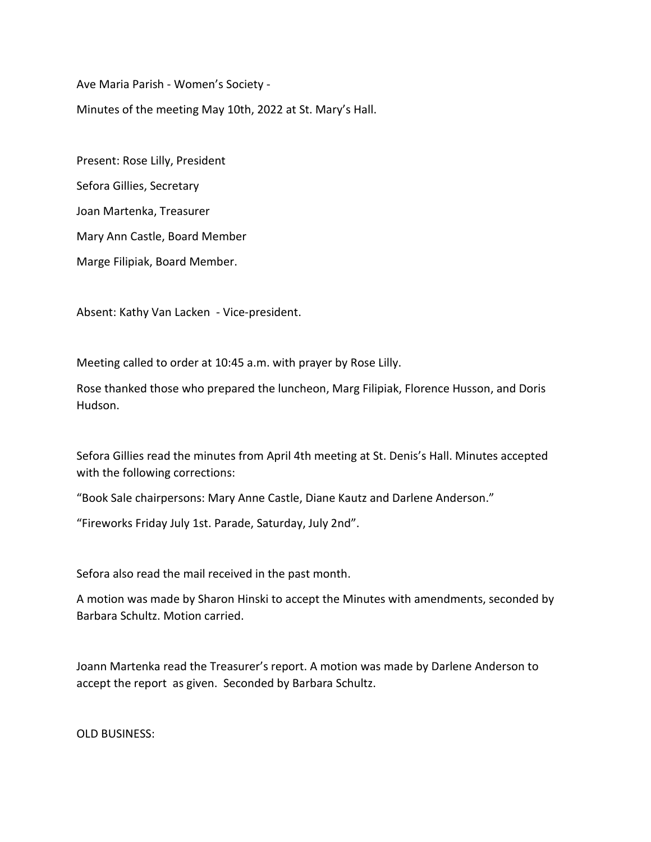Ave Maria Parish - Women's Society -

Minutes of the meeting May 10th, 2022 at St. Mary's Hall.

Present: Rose Lilly, President Sefora Gillies, Secretary Joan Martenka, Treasurer Mary Ann Castle, Board Member Marge Filipiak, Board Member.

Absent: Kathy Van Lacken - Vice-president.

Meeting called to order at 10:45 a.m. with prayer by Rose Lilly.

Rose thanked those who prepared the luncheon, Marg Filipiak, Florence Husson, and Doris Hudson.

Sefora Gillies read the minutes from April 4th meeting at St. Denis's Hall. Minutes accepted with the following corrections:

"Book Sale chairpersons: Mary Anne Castle, Diane Kautz and Darlene Anderson."

"Fireworks Friday July 1st. Parade, Saturday, July 2nd".

Sefora also read the mail received in the past month.

A motion was made by Sharon Hinski to accept the Minutes with amendments, seconded by Barbara Schultz. Motion carried.

Joann Martenka read the Treasurer's report. A motion was made by Darlene Anderson to accept the report as given. Seconded by Barbara Schultz.

OLD BUSINESS: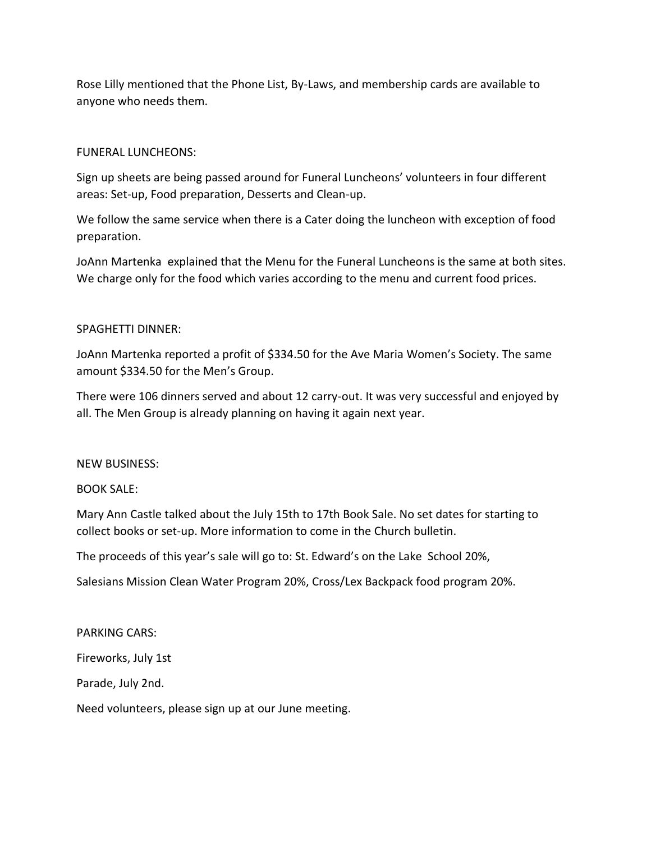Rose Lilly mentioned that the Phone List, By-Laws, and membership cards are available to anyone who needs them.

# FUNERAL LUNCHEONS:

Sign up sheets are being passed around for Funeral Luncheons' volunteers in four different areas: Set-up, Food preparation, Desserts and Clean-up.

We follow the same service when there is a Cater doing the luncheon with exception of food preparation.

JoAnn Martenka explained that the Menu for the Funeral Luncheons is the same at both sites. We charge only for the food which varies according to the menu and current food prices.

# SPAGHETTI DINNER:

JoAnn Martenka reported a profit of \$334.50 for the Ave Maria Women's Society. The same amount \$334.50 for the Men's Group.

There were 106 dinners served and about 12 carry-out. It was very successful and enjoyed by all. The Men Group is already planning on having it again next year.

## NEW BUSINESS:

## BOOK SALE:

Mary Ann Castle talked about the July 15th to 17th Book Sale. No set dates for starting to collect books or set-up. More information to come in the Church bulletin.

The proceeds of this year's sale will go to: St. Edward's on the Lake School 20%,

Salesians Mission Clean Water Program 20%, Cross/Lex Backpack food program 20%.

## PARKING CARS:

Fireworks, July 1st

Parade, July 2nd.

Need volunteers, please sign up at our June meeting.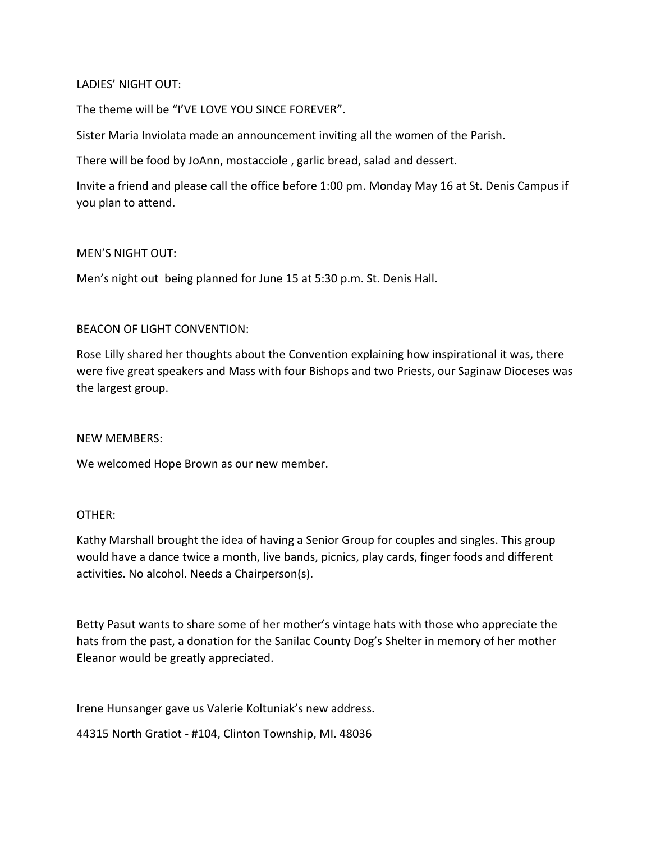# LADIES' NIGHT OUT:

The theme will be "I'VE LOVE YOU SINCE FOREVER".

Sister Maria Inviolata made an announcement inviting all the women of the Parish.

There will be food by JoAnn, mostacciole , garlic bread, salad and dessert.

Invite a friend and please call the office before 1:00 pm. Monday May 16 at St. Denis Campus if you plan to attend.

# MEN'S NIGHT OUT:

Men's night out being planned for June 15 at 5:30 p.m. St. Denis Hall.

# BEACON OF LIGHT CONVENTION:

Rose Lilly shared her thoughts about the Convention explaining how inspirational it was, there were five great speakers and Mass with four Bishops and two Priests, our Saginaw Dioceses was the largest group.

## NEW MEMBERS:

We welcomed Hope Brown as our new member.

## OTHER:

Kathy Marshall brought the idea of having a Senior Group for couples and singles. This group would have a dance twice a month, live bands, picnics, play cards, finger foods and different activities. No alcohol. Needs a Chairperson(s).

Betty Pasut wants to share some of her mother's vintage hats with those who appreciate the hats from the past, a donation for the Sanilac County Dog's Shelter in memory of her mother Eleanor would be greatly appreciated.

Irene Hunsanger gave us Valerie Koltuniak's new address.

44315 North Gratiot - #104, Clinton Township, MI. 48036